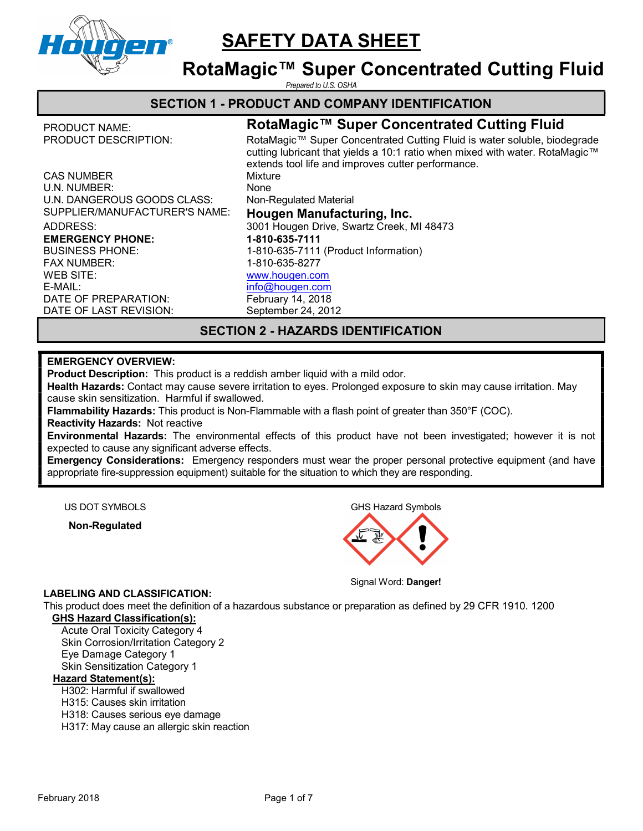

# RotaMagic™ Super Concentrated Cutting Fluid

Prepared to U.S. OSHA

## SECTION 1 - PRODUCT AND COMPANY IDENTIFICATION

BUSINESS PHONE: FAX NUMBER:

WEB SITE: E-MAIL:

# PRODUCT NAME: RotaMagic™ Super Concentrated Cutting Fluid

PRODUCT DESCRIPTION: RotaMagic™ Super Concentrated Cutting Fluid is water soluble, biodegrade cutting lubricant that yields a 10:1 ratio when mixed with water. RotaMagic™ extends tool life and improves cutter performance. CAS NUMBER Mixture U.N. NUMBER: None U.N. DANGEROUS GOODS CLASS: Non-Regulated Material SUPPLIER/MANUFACTURER'S NAME: Hougen Manufacturing, Inc. ADDRESS: 3001 Hougen Drive, Swartz Creek, MI 48473 EMERGENCY PHONE: 1-810-635-7111 1-810-635-7111 (Product Information) 1-810-635-8277 www.hougen.com info@hougen.com DATE OF PREPARATION: February 14, 2018 DATE OF LAST REVISION: September 24, 2012

# SECTION 2 - HAZARDS IDENTIFICATION

### EMERGENCY OVERVIEW:

Product Description: This product is a reddish amber liquid with a mild odor.

Health Hazards: Contact may cause severe irritation to eyes. Prolonged exposure to skin may cause irritation. May cause skin sensitization. Harmful if swallowed.

Flammability Hazards: This product is Non-Flammable with a flash point of greater than 350°F (COC). Reactivity Hazards: Not reactive

Environmental Hazards: The environmental effects of this product have not been investigated; however it is not expected to cause any significant adverse effects.

**Emergency Considerations:** Emergency responders must wear the proper personal protective equipment (and have appropriate fire-suppression equipment) suitable for the situation to which they are responding.

Non-Regulated

US DOT SYMBOLS GHS Hazard Symbols



Signal Word: Danger!

#### LABELING AND CLASSIFICATION:

This product does meet the definition of a hazardous substance or preparation as defined by 29 CFR 1910. 1200 GHS Hazard Classification(s):

Acute Oral Toxicity Category 4 Skin Corrosion/Irritation Category 2 Eye Damage Category 1 Skin Sensitization Category 1

#### Hazard Statement(s):

H302: Harmful if swallowed

H315: Causes skin irritation

H318: Causes serious eye damage

H317: May cause an allergic skin reaction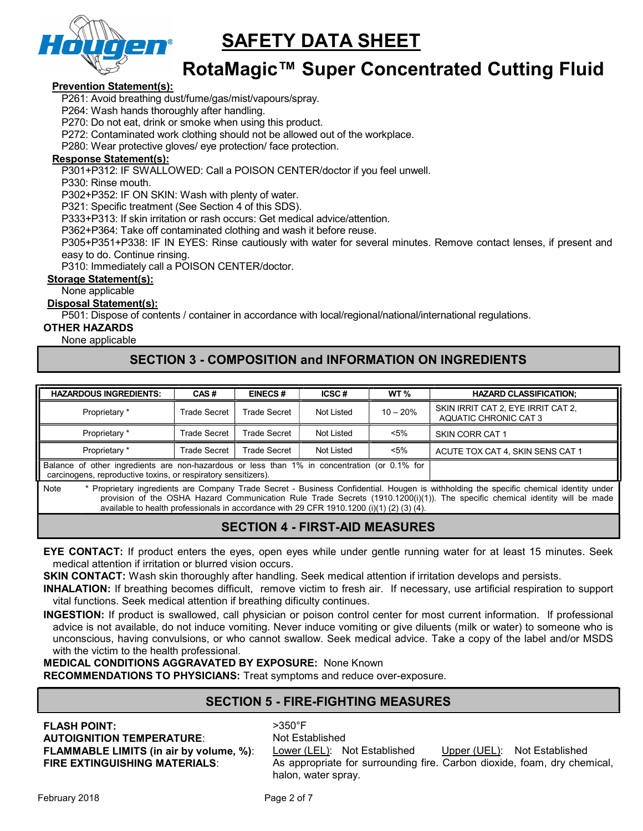

# RotaMagic™ Super Concentrated Cutting Fluid

#### Prevention Statement(s):

P261: Avoid breathing dust/fume/gas/mist/vapours/spray.

P264: Wash hands thoroughly after handling.

P270: Do not eat, drink or smoke when using this product.

P272: Contaminated work clothing should not be allowed out of the workplace.

P280: Wear protective gloves/ eye protection/ face protection.

#### Response Statement(s):

P301+P312: IF SWALLOWED: Call a POISON CENTER/doctor if you feel unwell.

P330: Rinse mouth.

P302+P352: IF ON SKIN: Wash with plenty of water.

P321: Specific treatment (See Section 4 of this SDS).

P333+P313: If skin irritation or rash occurs: Get medical advice/attention.

P362+P364: Take off contaminated clothing and wash it before reuse.

P305+P351+P338: IF IN EYES: Rinse cautiously with water for several minutes. Remove contact lenses, if present and easy to do. Continue rinsing.

P310: Immediately call a POISON CENTER/doctor.

### Storage Statement(s):

None applicable

#### Disposal Statement(s):

P501: Dispose of contents / container in accordance with local/regional/national/international regulations.

### OTHER HAZARDS

#### None applicable

# SECTION 3 - COMPOSITION and INFORMATION ON INGREDIENTS

| <b>HAZARDOUS INGREDIENTS:</b>                                                                                                                                                                                                                                                                                                                                               | CAS#         | <b>EINECS#</b>      | ICSC#      | WT <sub>%</sub> | <b>HAZARD CLASSIFICATION:</b>                               |
|-----------------------------------------------------------------------------------------------------------------------------------------------------------------------------------------------------------------------------------------------------------------------------------------------------------------------------------------------------------------------------|--------------|---------------------|------------|-----------------|-------------------------------------------------------------|
| Proprietary *                                                                                                                                                                                                                                                                                                                                                               | Trade Secret | <b>Trade Secret</b> | Not Listed | $10 - 20%$      | SKIN IRRIT CAT 2, EYE IRRIT CAT 2,<br>AQUATIC CHRONIC CAT 3 |
| Proprietary *                                                                                                                                                                                                                                                                                                                                                               | Trade Secret | <b>Trade Secret</b> | Not Listed | <5%             | SKIN CORR CAT 1                                             |
| Proprietary *                                                                                                                                                                                                                                                                                                                                                               | Trade Secret | Trade Secret        | Not Listed | $< 5\%$         | ACUTE TOX CAT 4, SKIN SENS CAT 1                            |
| Balance of other ingredients are non-hazardous or less than 1% in concentration (or 0.1% for<br>carcinogens, reproductive toxins, or respiratory sensitizers).                                                                                                                                                                                                              |              |                     |            |                 |                                                             |
| * Proprietary ingredients are Company Trade Secret - Business Confidential. Hougen is withholding the specific chemical identity under<br>Note<br>provision of the OSHA Hazard Communication Rule Trade Secrets (1910.1200(i)(1)). The specific chemical identity will be made<br>available to health professionals in accordance with 29 CFR 1910.1200 (i)(1) (2) (3) (4). |              |                     |            |                 |                                                             |

# SECTION 4 - FIRST-AID MEASURES

EYE CONTACT: If product enters the eyes, open eyes while under gentle running water for at least 15 minutes. Seek medical attention if irritation or blurred vision occurs.

**SKIN CONTACT:** Wash skin thoroughly after handling. Seek medical attention if irritation develops and persists.

INHALATION: If breathing becomes difficult, remove victim to fresh air. If necessary, use artificial respiration to support vital functions. Seek medical attention if breathing dificulty continues.

INGESTION: If product is swallowed, call physician or poison control center for most current information. If professional advice is not available, do not induce vomiting. Never induce vomiting or give diluents (milk or water) to someone who is unconscious, having convulsions, or who cannot swallow. Seek medical advice. Take a copy of the label and/or MSDS with the victim to the health professional.

MEDICAL CONDITIONS AGGRAVATED BY EXPOSURE: None Known

RECOMMENDATIONS TO PHYSICIANS: Treat symptoms and reduce over-exposure.

## SECTION 5 - FIRE-FIGHTING MEASURES

# **FLASH POINT:**  $>350^{\circ}F$

AUTOIGNITION TEMPERATURE: Not Established

FLAMMABLE LIMITS (in air by volume, %): Lower (LEL): Not Established Upper (UEL): Not Established FIRE EXTINGUISHING MATERIALS: As appropriate for surrounding fire. Carbon dioxide, foam, dry chemical, halon, water spray.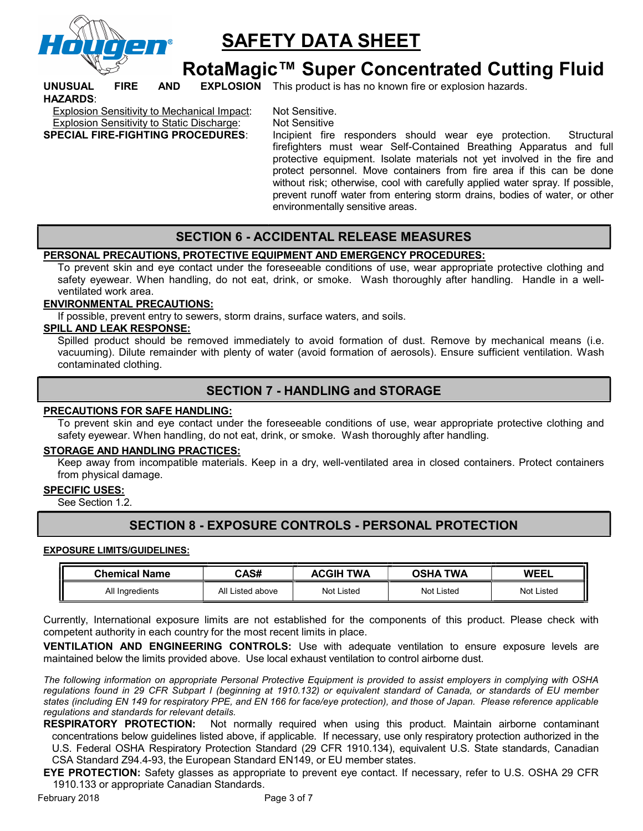

# RotaMagic™ Super Concentrated Cutting Fluid

UNUSUAL FIRE AND EXPLOSION This product is has no known fire or explosion hazards. HAZARDS:

Explosion Sensitivity to Mechanical Impact: Not Sensitive. Explosion Sensitivity to Static Discharge: Not Sensitive

SPECIAL FIRE-FIGHTING PROCEDURES: Incipient fire responders should wear eye protection. Structural firefighters must wear Self-Contained Breathing Apparatus and full protective equipment. Isolate materials not yet involved in the fire and protect personnel. Move containers from fire area if this can be done without risk; otherwise, cool with carefully applied water spray. If possible, prevent runoff water from entering storm drains, bodies of water, or other environmentally sensitive areas.

# SECTION 6 - ACCIDENTAL RELEASE MEASURES

### PERSONAL PRECAUTIONS, PROTECTIVE EQUIPMENT AND EMERGENCY PROCEDURES:

To prevent skin and eye contact under the foreseeable conditions of use, wear appropriate protective clothing and safety eyewear. When handling, do not eat, drink, or smoke. Wash thoroughly after handling. Handle in a wellventilated work area.

#### ENVIRONMENTAL PRECAUTIONS:

If possible, prevent entry to sewers, storm drains, surface waters, and soils.

#### SPILL AND LEAK RESPONSE:

Spilled product should be removed immediately to avoid formation of dust. Remove by mechanical means (i.e. vacuuming). Dilute remainder with plenty of water (avoid formation of aerosols). Ensure sufficient ventilation. Wash contaminated clothing.

### SECTION 7 - HANDLING and STORAGE

#### PRECAUTIONS FOR SAFE HANDLING:

To prevent skin and eye contact under the foreseeable conditions of use, wear appropriate protective clothing and safety eyewear. When handling, do not eat, drink, or smoke. Wash thoroughly after handling.

#### STORAGE AND HANDLING PRACTICES:

Keep away from incompatible materials. Keep in a dry, well-ventilated area in closed containers. Protect containers from physical damage.

### SPECIFIC USES:

See Section 1.2.

# SECTION 8 - EXPOSURE CONTROLS - PERSONAL PROTECTION

#### EXPOSURE LIMITS/GUIDELINES:

| <b>Chemical Name</b> | CAS#                | <b>TWA</b><br>ACGIH | TWA<br>OSHA | <b>WEEL</b>       |
|----------------------|---------------------|---------------------|-------------|-------------------|
| All Ingredients      | All<br>∟isted above | Not Listed          | Not Listed  | <b>Not Listed</b> |

Currently, International exposure limits are not established for the components of this product. Please check with competent authority in each country for the most recent limits in place.

VENTILATION AND ENGINEERING CONTROLS: Use with adequate ventilation to ensure exposure levels are maintained below the limits provided above. Use local exhaust ventilation to control airborne dust.

The following information on appropriate Personal Protective Equipment is provided to assist employers in complying with OSHA regulations found in 29 CFR Subpart I (beginning at 1910.132) or equivalent standard of Canada, or standards of EU member states (including EN 149 for respiratory PPE, and EN 166 for face/eye protection), and those of Japan. Please reference applicable regulations and standards for relevant details.

RESPIRATORY PROTECTION: Not normally required when using this product. Maintain airborne contaminant concentrations below guidelines listed above, if applicable. If necessary, use only respiratory protection authorized in the U.S. Federal OSHA Respiratory Protection Standard (29 CFR 1910.134), equivalent U.S. State standards, Canadian CSA Standard Z94.4-93, the European Standard EN149, or EU member states.

EYE PROTECTION: Safety glasses as appropriate to prevent eye contact. If necessary, refer to U.S. OSHA 29 CFR 1910.133 or appropriate Canadian Standards.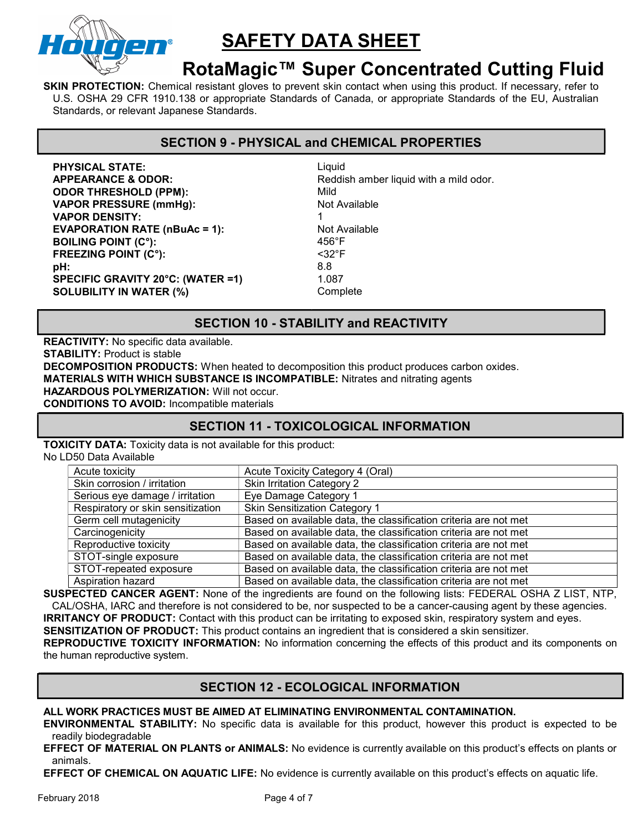

# RotaMagic™ Super Concentrated Cutting Fluid

SKIN PROTECTION: Chemical resistant gloves to prevent skin contact when using this product. If necessary, refer to U.S. OSHA 29 CFR 1910.138 or appropriate Standards of Canada, or appropriate Standards of the EU, Australian Standards, or relevant Japanese Standards.

## SECTION 9 - PHYSICAL and CHEMICAL PROPERTIES

PHYSICAL STATE: Liquid APPEARANCE & ODOR: Reddish amber liquid with a mild odor. **ODOR THRESHOLD (PPM):** Mild VAPOR PRESSURE (mmHg): Not Available VAPOR DENSITY: 1 EVAPORATION RATE (nBuAc = 1): Not Available BOILING POINT (C°):<br>
FREEZING POINT (C°):<br>
FREEZING POINT (C°): FREEZING POINT (C°): **pH:** 8.8 SPECIFIC GRAVITY 20°C: (WATER =1) 1.087 SOLUBILITY IN WATER (%) Complete

## SECTION 10 - STABILITY and REACTIVITY

REACTIVITY: No specific data available. STABILITY: Product is stable DECOMPOSITION PRODUCTS: When heated to decomposition this product produces carbon oxides. MATERIALS WITH WHICH SUBSTANCE IS INCOMPATIBLE: Nitrates and nitrating agents HAZARDOUS POLYMERIZATION: Will not occur. CONDITIONS TO AVOID: Incompatible materials

## SECTION 11 - TOXICOLOGICAL INFORMATION

TOXICITY DATA: Toxicity data is not available for this product:

No LD50 Data Available

| Acute toxicity                    | Acute Toxicity Category 4 (Oral)                                 |
|-----------------------------------|------------------------------------------------------------------|
| Skin corrosion / irritation       | <b>Skin Irritation Category 2</b>                                |
| Serious eye damage / irritation   | Eye Damage Category 1                                            |
| Respiratory or skin sensitization | <b>Skin Sensitization Category 1</b>                             |
| Germ cell mutagenicity            | Based on available data, the classification criteria are not met |
| Carcinogenicity                   | Based on available data, the classification criteria are not met |
| Reproductive toxicity             | Based on available data, the classification criteria are not met |
| STOT-single exposure              | Based on available data, the classification criteria are not met |
| STOT-repeated exposure            | Based on available data, the classification criteria are not met |
| Aspiration hazard                 | Based on available data, the classification criteria are not met |

SUSPECTED CANCER AGENT: None of the ingredients are found on the following lists: FEDERAL OSHA Z LIST, NTP, CAL/OSHA, IARC and therefore is not considered to be, nor suspected to be a cancer-causing agent by these agencies. IRRITANCY OF PRODUCT: Contact with this product can be irritating to exposed skin, respiratory system and eyes.

SENSITIZATION OF PRODUCT: This product contains an ingredient that is considered a skin sensitizer.

REPRODUCTIVE TOXICITY INFORMATION: No information concerning the effects of this product and its components on the human reproductive system.

## SECTION 12 - ECOLOGICAL INFORMATION

ALL WORK PRACTICES MUST BE AIMED AT ELIMINATING ENVIRONMENTAL CONTAMINATION.

ENVIRONMENTAL STABILITY: No specific data is available for this product, however this product is expected to be readily biodegradable

EFFECT OF MATERIAL ON PLANTS or ANIMALS: No evidence is currently available on this product's effects on plants or animals.

EFFECT OF CHEMICAL ON AQUATIC LIFE: No evidence is currently available on this product's effects on aquatic life.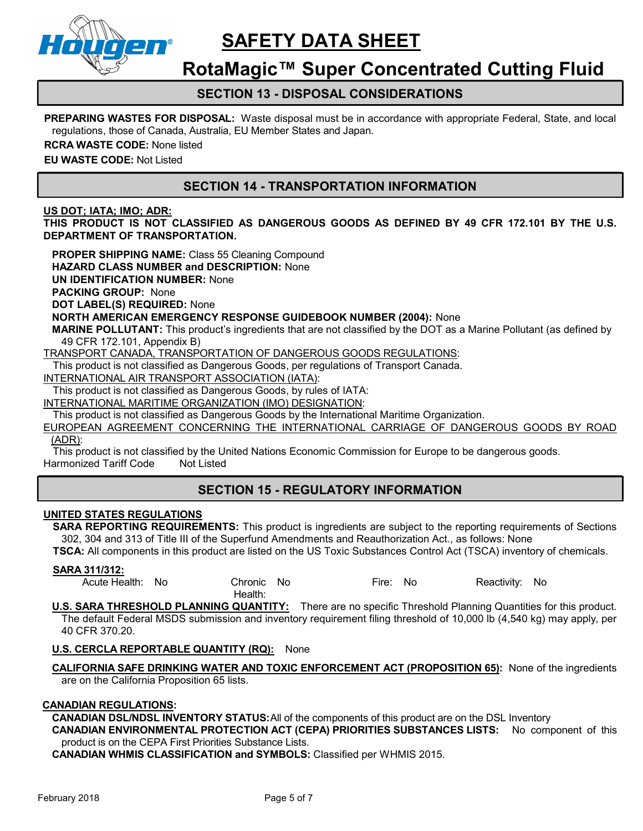

# RotaMagic™ Super Concentrated Cutting Fluid

## SECTION 13 - DISPOSAL CONSIDERATIONS

**PREPARING WASTES FOR DISPOSAL:** Waste disposal must be in accordance with appropriate Federal, State, and local regulations, those of Canada, Australia, EU Member States and Japan.

RCRA WASTE CODE: None listed

EU WASTE CODE: Not Listed

# SECTION 14 - TRANSPORTATION INFORMATION

#### US DOT; IATA; IMO; ADR:

THIS PRODUCT IS NOT CLASSIFIED AS DANGEROUS GOODS AS DEFINED BY 49 CFR 172.101 BY THE U.S. DEPARTMENT OF TRANSPORTATION.

PROPER SHIPPING NAME: Class 55 Cleaning Compound

HAZARD CLASS NUMBER and DESCRIPTION: None

UN IDENTIFICATION NUMBER: None

PACKING GROUP: None

DOT LABEL(S) REQUIRED: None

NORTH AMERICAN EMERGENCY RESPONSE GUIDEBOOK NUMBER (2004): None

MARINE POLLUTANT: This product's ingredients that are not classified by the DOT as a Marine Pollutant (as defined by 49 CFR 172.101, Appendix B)

TRANSPORT CANADA, TRANSPORTATION OF DANGEROUS GOODS REGULATIONS:

This product is not classified as Dangerous Goods, per regulations of Transport Canada.

INTERNATIONAL AIR TRANSPORT ASSOCIATION (IATA):

This product is not classified as Dangerous Goods, by rules of IATA:

INTERNATIONAL MARITIME ORGANIZATION (IMO) DESIGNATION:

This product is not classified as Dangerous Goods by the International Maritime Organization.

EUROPEAN AGREEMENT CONCERNING THE INTERNATIONAL CARRIAGE OF DANGEROUS GOODS BY ROAD (ADR):

This product is not classified by the United Nations Economic Commission for Europe to be dangerous goods. Harmonized Tariff Code Not Listed

# SECTION 15 - REGULATORY INFORMATION

### UNITED STATES REGULATIONS

SARA REPORTING REQUIREMENTS: This product is ingredients are subject to the reporting requirements of Sections 302, 304 and 313 of Title III of the Superfund Amendments and Reauthorization Act., as follows: None

TSCA: All components in this product are listed on the US Toxic Substances Control Act (TSCA) inventory of chemicals.

#### SARA 311/312:

Acute Health: No Chronic No Health: Fire: No Reactivity: No

U.S. SARA THRESHOLD PLANNING QUANTITY: There are no specific Threshold Planning Quantities for this product. The default Federal MSDS submission and inventory requirement filing threshold of 10,000 lb (4,540 kg) may apply, per 40 CFR 370.20.

#### U.S. CERCLA REPORTABLE QUANTITY (RQ): None

CALIFORNIA SAFE DRINKING WATER AND TOXIC ENFORCEMENT ACT (PROPOSITION 65): None of the ingredients are on the California Proposition 65 lists.

#### CANADIAN REGULATIONS:

CANADIAN DSL/NDSL INVENTORY STATUS: All of the components of this product are on the DSL Inventory

CANADIAN ENVIRONMENTAL PROTECTION ACT (CEPA) PRIORITIES SUBSTANCES LISTS: No component of this product is on the CEPA First Priorities Substance Lists.

CANADIAN WHMIS CLASSIFICATION and SYMBOLS: Classified per WHMIS 2015.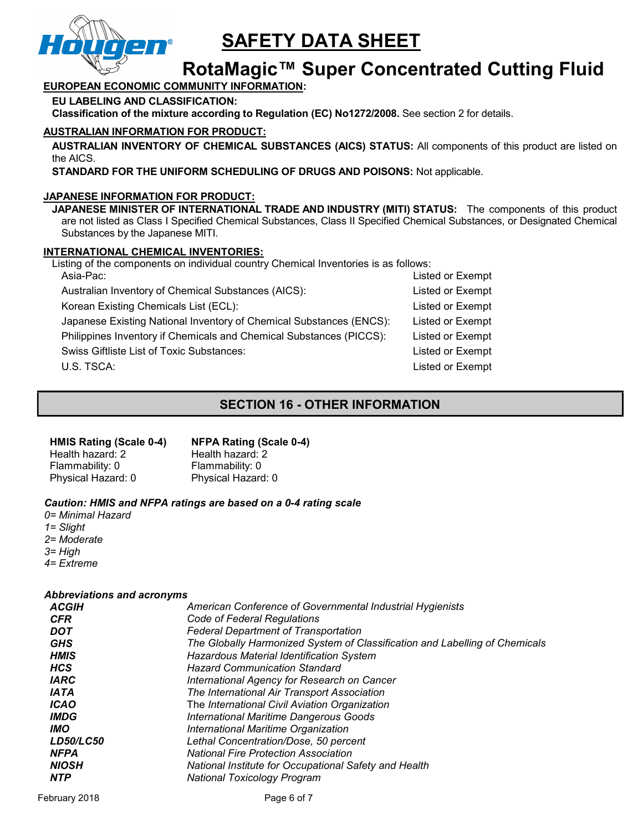

# RotaMagic™ Super Concentrated Cutting Fluid

### EUROPEAN ECONOMIC COMMUNITY INFORMATION:

EU LABELING AND CLASSIFICATION:

Classification of the mixture according to Regulation (EC) No1272/2008. See section 2 for details.

### AUSTRALIAN INFORMATION FOR PRODUCT:

AUSTRALIAN INVENTORY OF CHEMICAL SUBSTANCES (AICS) STATUS: All components of this product are listed on the AICS.

STANDARD FOR THE UNIFORM SCHEDULING OF DRUGS AND POISONS: Not applicable.

#### JAPANESE INFORMATION FOR PRODUCT:

JAPANESE MINISTER OF INTERNATIONAL TRADE AND INDUSTRY (MITI) STATUS: The components of this product are not listed as Class I Specified Chemical Substances, Class II Specified Chemical Substances, or Designated Chemical Substances by the Japanese MITI.

#### INTERNATIONAL CHEMICAL INVENTORIES:

Listing of the components on individual country Chemical Inventories is as follows:

| Asia-Pac:                                                           | Listed or Exempt |
|---------------------------------------------------------------------|------------------|
| Australian Inventory of Chemical Substances (AICS):                 | Listed or Exempt |
| Korean Existing Chemicals List (ECL):                               | Listed or Exempt |
| Japanese Existing National Inventory of Chemical Substances (ENCS): | Listed or Exempt |
| Philippines Inventory if Chemicals and Chemical Substances (PICCS): | Listed or Exempt |
| <b>Swiss Giftliste List of Toxic Substances:</b>                    | Listed or Exempt |
| U.S. TSCA:                                                          | Listed or Exempt |
|                                                                     |                  |

# SECTION 16 - OTHER INFORMATION

#### HMIS Rating (Scale 0-4)

### NFPA Rating (Scale 0-4)

Health hazard: 2 Flammability: 0 Physical Hazard: 0 Health hazard: 2 Flammability: 0 Physical Hazard: 0

### Caution: HMIS and NFPA ratings are based on a 0-4 rating scale

0= Minimal Hazard 1= Slight 2= Moderate 3= High 4= Extreme

### Abbreviations and acronyms

| ACGIH              | American Conference of Governmental Industrial Hygienists                   |
|--------------------|-----------------------------------------------------------------------------|
| <b>CFR</b>         | Code of Federal Regulations                                                 |
| DOT                | <b>Federal Department of Transportation</b>                                 |
| <b>GHS</b>         | The Globally Harmonized System of Classification and Labelling of Chemicals |
| <b>HMIS</b>        | <b>Hazardous Material Identification System</b>                             |
| <b>HCS</b>         | <b>Hazard Communication Standard</b>                                        |
| <b>IARC</b>        | International Agency for Research on Cancer                                 |
| <i><b>IATA</b></i> | The International Air Transport Association                                 |
| <b>ICAO</b>        | The International Civil Aviation Organization                               |
| <i><b>IMDG</b></i> | <b>International Maritime Dangerous Goods</b>                               |
| <b>IMO</b>         | International Maritime Organization                                         |
| <b>LD50/LC50</b>   | Lethal Concentration/Dose, 50 percent                                       |
| <b>NFPA</b>        | <b>National Fire Protection Association</b>                                 |
| <b>NIOSH</b>       | National Institute for Occupational Safety and Health                       |
| <b>NTP</b>         | <b>National Toxicology Program</b>                                          |